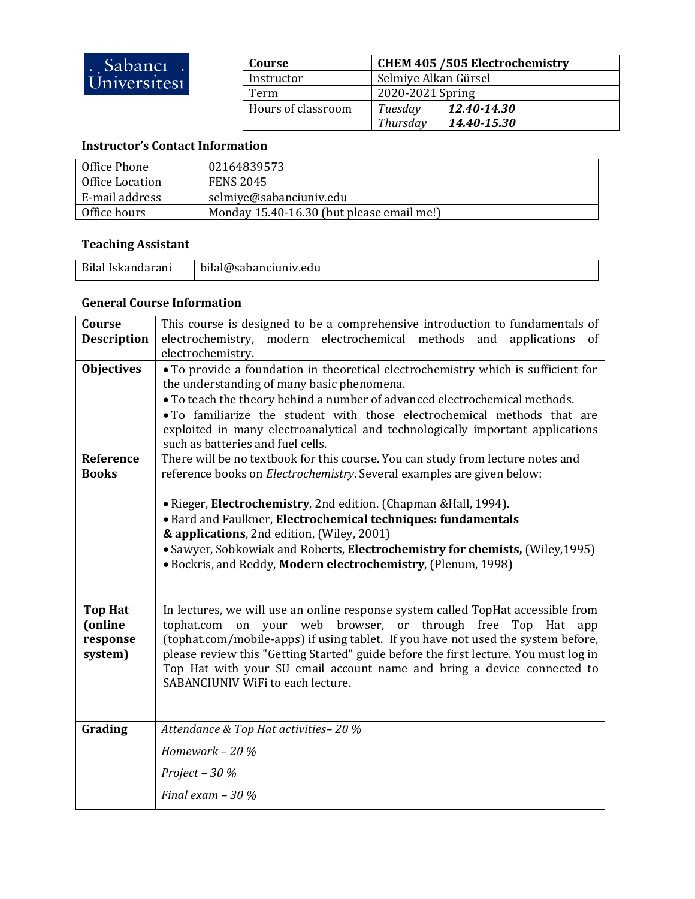| Course             | <b>CHEM 405 /505 Electrochemistry</b> |
|--------------------|---------------------------------------|
| Instructor         | Selmiye Alkan Gürsel                  |
| Term               | 2020-2021 Spring                      |
| Hours of classroom | Tuesday<br>12.40-14.30                |
|                    | Thursday<br>14.40-15.30               |

## **Instructor's Contact Information**

| Office Phone    | 02164839573                               |
|-----------------|-------------------------------------------|
| Office Location | <b>FENS 2045</b>                          |
| E-mail address  | selmiye@sabanciuniv.edu                   |
| Office hours    | Monday 15.40-16.30 (but please email me!) |

## **Teaching Assistant**

| Bilal Iskandarani | bilal@sabanciuniv.edu |  |
|-------------------|-----------------------|--|
|                   |                       |  |

## **General Course Information**

| Course<br><b>Description</b> | This course is designed to be a comprehensive introduction to fundamentals of<br>electrochemistry, modern electrochemical methods and<br>applications<br>0f |  |  |
|------------------------------|-------------------------------------------------------------------------------------------------------------------------------------------------------------|--|--|
| <b>Objectives</b>            | electrochemistry.<br>• To provide a foundation in theoretical electrochemistry which is sufficient for                                                      |  |  |
|                              | the understanding of many basic phenomena.                                                                                                                  |  |  |
|                              | • To teach the theory behind a number of advanced electrochemical methods.<br>. To familiarize the student with those electrochemical methods that are      |  |  |
|                              | exploited in many electroanalytical and technologically important applications                                                                              |  |  |
|                              | such as batteries and fuel cells.                                                                                                                           |  |  |
| Reference                    | There will be no textbook for this course. You can study from lecture notes and                                                                             |  |  |
| <b>Books</b>                 | reference books on <i>Electrochemistry</i> . Several examples are given below:                                                                              |  |  |
|                              | • Rieger, Electrochemistry, 2nd edition. (Chapman & Hall, 1994).                                                                                            |  |  |
|                              | · Bard and Faulkner, Electrochemical techniques: fundamentals                                                                                               |  |  |
|                              | & applications, 2nd edition, (Wiley, 2001)                                                                                                                  |  |  |
|                              | • Sawyer, Sobkowiak and Roberts, Electrochemistry for chemists, (Wiley, 1995)<br>· Bockris, and Reddy, Modern electrochemistry, (Plenum, 1998)              |  |  |
|                              |                                                                                                                                                             |  |  |
|                              |                                                                                                                                                             |  |  |
| <b>Top Hat</b>               | In lectures, we will use an online response system called TopHat accessible from<br>tophat.com                                                              |  |  |
| (online<br>response          | on your web browser, or through free<br>Top<br>Hat app<br>(tophat.com/mobile-apps) if using tablet. If you have not used the system before,                 |  |  |
| system)                      | please review this "Getting Started" guide before the first lecture. You must log in                                                                        |  |  |
|                              | Top Hat with your SU email account name and bring a device connected to                                                                                     |  |  |
|                              | SABANCIUNIV WiFi to each lecture.                                                                                                                           |  |  |
|                              |                                                                                                                                                             |  |  |
| Grading                      | Attendance & Top Hat activities-20 %                                                                                                                        |  |  |
|                              | Homework - 20 %                                                                                                                                             |  |  |
|                              | Project - $30%$                                                                                                                                             |  |  |
|                              | Final exam $-30\%$                                                                                                                                          |  |  |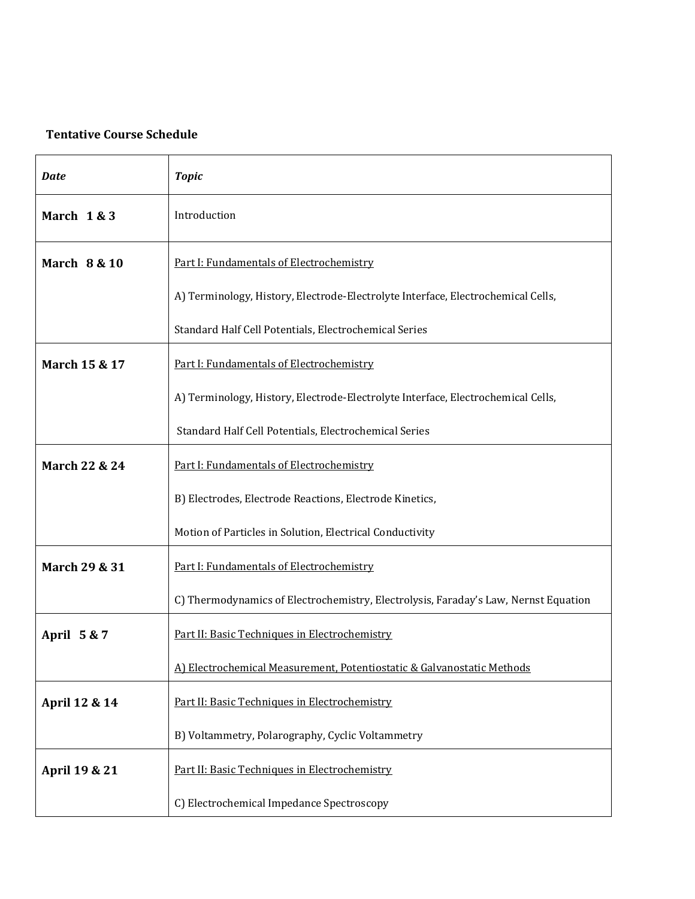## **Tentative Course Schedule**

| <b>Date</b>             | <b>Topic</b>                                                                        |
|-------------------------|-------------------------------------------------------------------------------------|
| March 1 & 3             | Introduction                                                                        |
| <b>March 8 &amp; 10</b> | Part I: Fundamentals of Electrochemistry                                            |
|                         | A) Terminology, History, Electrode-Electrolyte Interface, Electrochemical Cells,    |
|                         | Standard Half Cell Potentials, Electrochemical Series                               |
| March 15 & 17           | Part I: Fundamentals of Electrochemistry                                            |
|                         | A) Terminology, History, Electrode-Electrolyte Interface, Electrochemical Cells,    |
|                         | Standard Half Cell Potentials, Electrochemical Series                               |
| March 22 & 24           | Part I: Fundamentals of Electrochemistry                                            |
|                         | B) Electrodes, Electrode Reactions, Electrode Kinetics,                             |
|                         | Motion of Particles in Solution, Electrical Conductivity                            |
| March 29 & 31           | Part I: Fundamentals of Electrochemistry                                            |
|                         | C) Thermodynamics of Electrochemistry, Electrolysis, Faraday's Law, Nernst Equation |
| April 5 & 7             | Part II: Basic Techniques in Electrochemistry                                       |
|                         | A) Electrochemical Measurement, Potentiostatic & Galvanostatic Methods              |
| April 12 & 14           | Part II: Basic Techniques in Electrochemistry                                       |
|                         | B) Voltammetry, Polarography, Cyclic Voltammetry                                    |
| April 19 & 21           | Part II: Basic Techniques in Electrochemistry                                       |
|                         | C) Electrochemical Impedance Spectroscopy                                           |